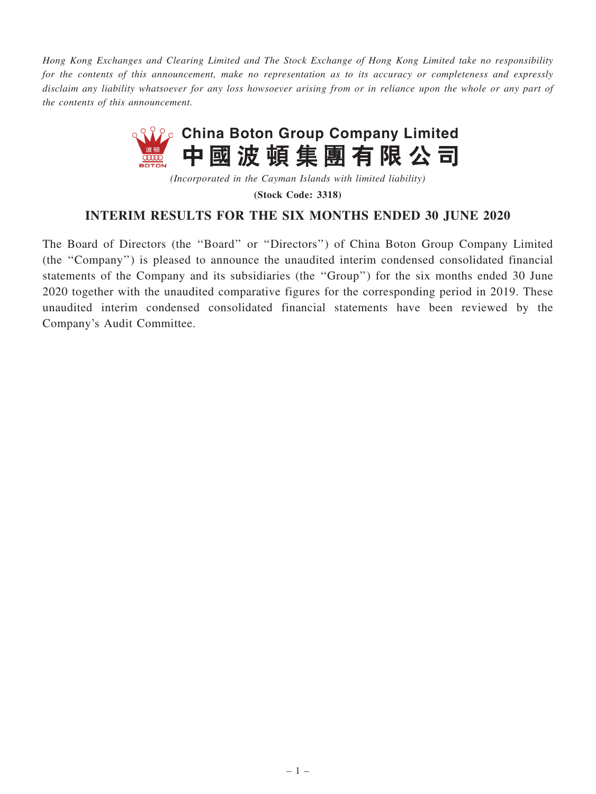Hong Kong Exchanges and Clearing Limited and The Stock Exchange of Hong Kong Limited take no responsibility for the contents of this announcement, make no representation as to its accuracy or completeness and expressly disclaim any liability whatsoever for any loss howsoever arising from or in reliance upon the whole or any part of the contents of this announcement.



(Incorporated in the Cayman Islands with limited liability)

(Stock Code: 3318)

## INTERIM RESULTS FOR THE SIX MONTHS ENDED 30 JUNE 2020

The Board of Directors (the ''Board'' or ''Directors'') of China Boton Group Company Limited (the ''Company'') is pleased to announce the unaudited interim condensed consolidated financial statements of the Company and its subsidiaries (the ''Group'') for the six months ended 30 June 2020 together with the unaudited comparative figures for the corresponding period in 2019. These unaudited interim condensed consolidated financial statements have been reviewed by the Company's Audit Committee.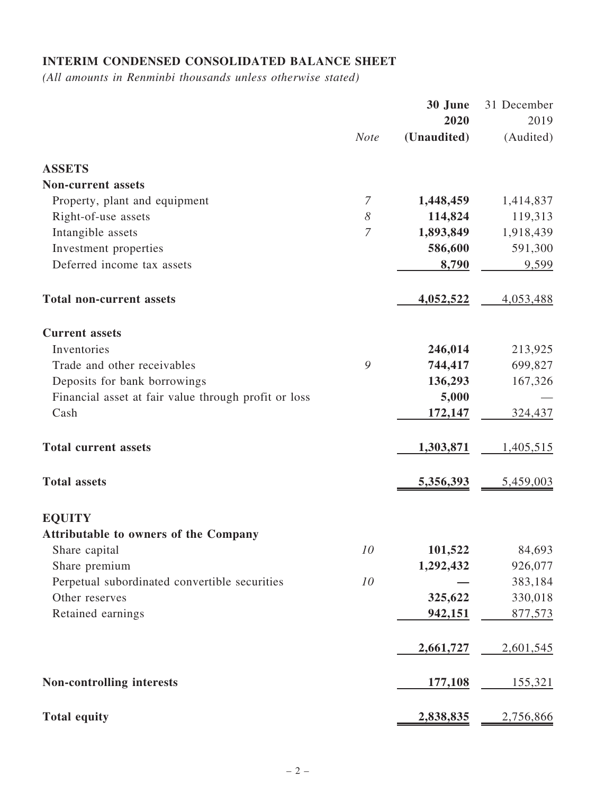# INTERIM CONDENSED CONSOLIDATED BALANCE SHEET

(All amounts in Renminbi thousands unless otherwise stated)

|                                                      |                       | 30 June     | 31 December      |
|------------------------------------------------------|-----------------------|-------------|------------------|
|                                                      |                       | 2020        | 2019             |
|                                                      | <b>Note</b>           | (Unaudited) | (Audited)        |
| <b>ASSETS</b>                                        |                       |             |                  |
| <b>Non-current assets</b>                            |                       |             |                  |
| Property, plant and equipment                        | $\overline{7}$        | 1,448,459   | 1,414,837        |
| Right-of-use assets                                  | $\boldsymbol{\delta}$ | 114,824     | 119,313          |
| Intangible assets                                    | 7                     | 1,893,849   | 1,918,439        |
| Investment properties                                |                       | 586,600     | 591,300          |
| Deferred income tax assets                           |                       | 8,790       | 9,599            |
| <b>Total non-current assets</b>                      |                       | 4,052,522   | 4,053,488        |
| <b>Current assets</b>                                |                       |             |                  |
| Inventories                                          |                       | 246,014     | 213,925          |
| Trade and other receivables                          | 9                     | 744,417     | 699,827          |
| Deposits for bank borrowings                         |                       | 136,293     | 167,326          |
| Financial asset at fair value through profit or loss |                       | 5,000       |                  |
| Cash                                                 |                       | 172,147     | 324,437          |
| <b>Total current assets</b>                          |                       | 1,303,871   | 1,405,515        |
| <b>Total assets</b>                                  |                       | 5,356,393   | 5,459,003        |
| <b>EQUITY</b>                                        |                       |             |                  |
| <b>Attributable to owners of the Company</b>         |                       |             |                  |
| Share capital                                        | 10                    | 101,522     | 84,693           |
| Share premium                                        |                       | 1,292,432   | 926,077          |
| Perpetual subordinated convertible securities        | 10                    |             | 383,184          |
| Other reserves                                       |                       | 325,622     | 330,018          |
| Retained earnings                                    |                       | 942,151     | 877,573          |
|                                                      |                       | 2,661,727   | <u>2,601,545</u> |
|                                                      |                       |             |                  |
| <b>Non-controlling interests</b>                     |                       | 177,108     | 155,321          |
| <b>Total equity</b>                                  |                       | 2,838,835   | 2,756,866        |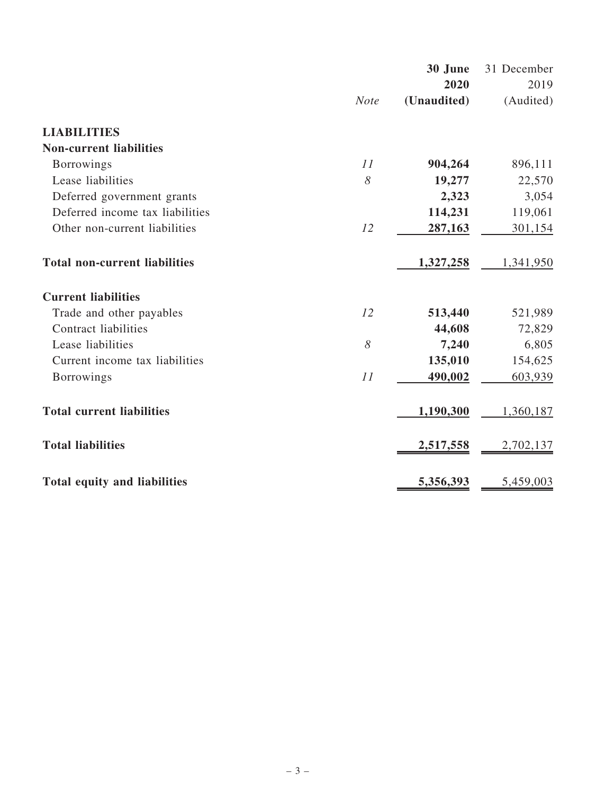|                                      |             | 30 June     | 31 December |
|--------------------------------------|-------------|-------------|-------------|
|                                      |             | 2020        | 2019        |
|                                      | <b>Note</b> | (Unaudited) | (Audited)   |
| <b>LIABILITIES</b>                   |             |             |             |
| <b>Non-current liabilities</b>       |             |             |             |
| <b>Borrowings</b>                    | 11          | 904,264     | 896,111     |
| Lease liabilities                    | 8           | 19,277      | 22,570      |
| Deferred government grants           |             | 2,323       | 3,054       |
| Deferred income tax liabilities      |             | 114,231     | 119,061     |
| Other non-current liabilities        | 12          | 287,163     | 301,154     |
| <b>Total non-current liabilities</b> |             | 1,327,258   | 1,341,950   |
| <b>Current liabilities</b>           |             |             |             |
| Trade and other payables             | 12          | 513,440     | 521,989     |
| <b>Contract liabilities</b>          |             | 44,608      | 72,829      |
| Lease liabilities                    | 8           | 7,240       | 6,805       |
| Current income tax liabilities       |             | 135,010     | 154,625     |
| <b>Borrowings</b>                    | 11          | 490,002     | 603,939     |
| <b>Total current liabilities</b>     |             | 1,190,300   | 1,360,187   |
| <b>Total liabilities</b>             |             | 2,517,558   | 2,702,137   |
| <b>Total equity and liabilities</b>  |             | 5,356,393   | 5,459,003   |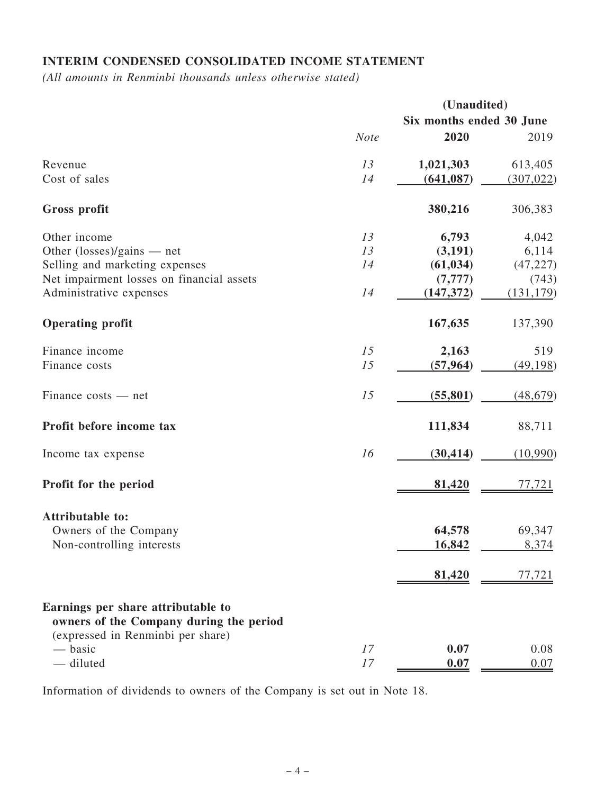# INTERIM CONDENSED CONSOLIDATED INCOME STATEMENT

(All amounts in Renminbi thousands unless otherwise stated)

|                                                                                                                    |             | (Unaudited)              |            |
|--------------------------------------------------------------------------------------------------------------------|-------------|--------------------------|------------|
|                                                                                                                    |             | Six months ended 30 June |            |
|                                                                                                                    | <b>Note</b> | 2020                     | 2019       |
| Revenue                                                                                                            | 13          | 1,021,303                | 613,405    |
| Cost of sales                                                                                                      | 14          | (641, 087)               | (307, 022) |
| Gross profit                                                                                                       |             | 380,216                  | 306,383    |
| Other income                                                                                                       | 13          | 6,793                    | 4,042      |
| Other $(\text{losses})/\text{gains}$ — net                                                                         | 13          | (3,191)                  | 6,114      |
| Selling and marketing expenses                                                                                     | 14          | (61, 034)                | (47, 227)  |
| Net impairment losses on financial assets                                                                          |             | (7, 777)                 | (743)      |
| Administrative expenses                                                                                            | 14          | (147, 372)               | (131, 179) |
| <b>Operating profit</b>                                                                                            |             | 167,635                  | 137,390    |
| Finance income                                                                                                     | 15          | 2,163                    | 519        |
| Finance costs                                                                                                      | 15          | (57, 964)                | (49, 198)  |
| $Finance \ costs - net$                                                                                            | 15          | (55, 801)                | (48, 679)  |
| Profit before income tax                                                                                           |             | 111,834                  | 88,711     |
| Income tax expense                                                                                                 | 16          | (30, 414)                | (10,990)   |
| Profit for the period                                                                                              |             | 81,420                   | 77,721     |
| Attributable to:                                                                                                   |             |                          |            |
| Owners of the Company                                                                                              |             | 64,578                   | 69,347     |
| Non-controlling interests                                                                                          |             | 16,842                   | 8,374      |
|                                                                                                                    |             | 81,420                   | 77,721     |
| Earnings per share attributable to<br>owners of the Company during the period<br>(expressed in Renminbi per share) |             |                          |            |
| — basic                                                                                                            | 17          | 0.07                     | 0.08       |
| - diluted                                                                                                          | 17          | 0.07                     | 0.07       |

Information of dividends to owners of the Company is set out in Note 18.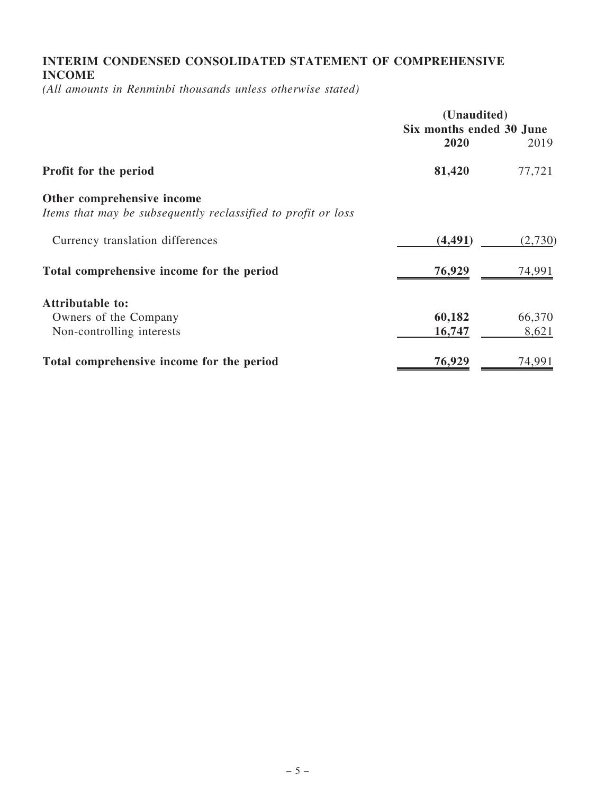## INTERIM CONDENSED CONSOLIDATED STATEMENT OF COMPREHENSIVE INCOME

(All amounts in Renminbi thousands unless otherwise stated)

|                                                                                             | (Unaudited)<br>Six months ended 30 June |         |  |
|---------------------------------------------------------------------------------------------|-----------------------------------------|---------|--|
|                                                                                             |                                         |         |  |
|                                                                                             | 2020                                    | 2019    |  |
| Profit for the period                                                                       | 81,420                                  | 77,721  |  |
| Other comprehensive income<br>Items that may be subsequently reclassified to profit or loss |                                         |         |  |
| Currency translation differences                                                            | (4, 491)                                | (2,730) |  |
| Total comprehensive income for the period                                                   | 76,929                                  | 74,991  |  |
| <b>Attributable to:</b>                                                                     |                                         |         |  |
| Owners of the Company                                                                       | 60,182                                  | 66,370  |  |
| Non-controlling interests                                                                   | 16,747                                  | 8,621   |  |
| Total comprehensive income for the period                                                   | 76,929                                  | 74,991  |  |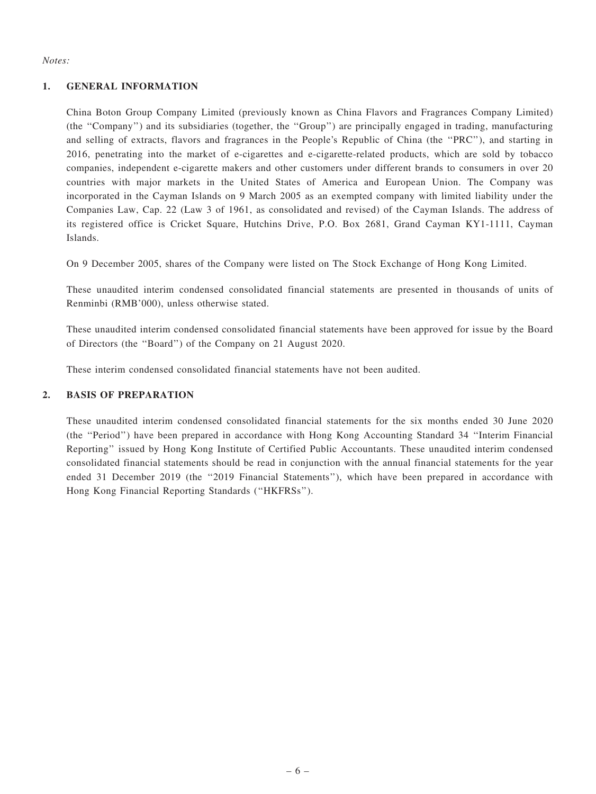#### Notes:

#### 1. GENERAL INFORMATION

China Boton Group Company Limited (previously known as China Flavors and Fragrances Company Limited) (the ''Company'') and its subsidiaries (together, the ''Group'') are principally engaged in trading, manufacturing and selling of extracts, flavors and fragrances in the People's Republic of China (the ''PRC''), and starting in 2016, penetrating into the market of e-cigarettes and e-cigarette-related products, which are sold by tobacco companies, independent e-cigarette makers and other customers under different brands to consumers in over 20 countries with major markets in the United States of America and European Union. The Company was incorporated in the Cayman Islands on 9 March 2005 as an exempted company with limited liability under the Companies Law, Cap. 22 (Law 3 of 1961, as consolidated and revised) of the Cayman Islands. The address of its registered office is Cricket Square, Hutchins Drive, P.O. Box 2681, Grand Cayman KY1-1111, Cayman Islands.

On 9 December 2005, shares of the Company were listed on The Stock Exchange of Hong Kong Limited.

These unaudited interim condensed consolidated financial statements are presented in thousands of units of Renminbi (RMB'000), unless otherwise stated.

These unaudited interim condensed consolidated financial statements have been approved for issue by the Board of Directors (the ''Board'') of the Company on 21 August 2020.

These interim condensed consolidated financial statements have not been audited.

### 2. BASIS OF PREPARATION

These unaudited interim condensed consolidated financial statements for the six months ended 30 June 2020 (the ''Period'') have been prepared in accordance with Hong Kong Accounting Standard 34 ''Interim Financial Reporting'' issued by Hong Kong Institute of Certified Public Accountants. These unaudited interim condensed consolidated financial statements should be read in conjunction with the annual financial statements for the year ended 31 December 2019 (the "2019 Financial Statements"), which have been prepared in accordance with Hong Kong Financial Reporting Standards (''HKFRSs'').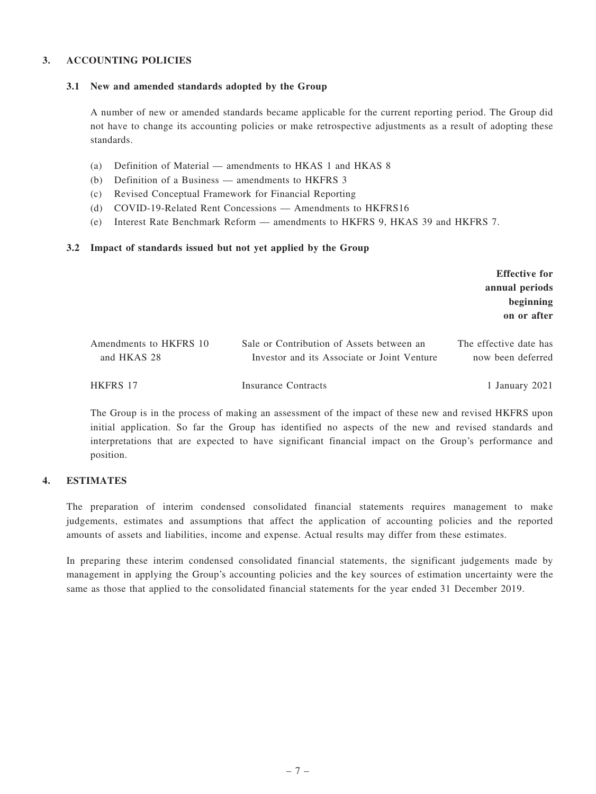#### 3. ACCOUNTING POLICIES

#### 3.1 New and amended standards adopted by the Group

A number of new or amended standards became applicable for the current reporting period. The Group did not have to change its accounting policies or make retrospective adjustments as a result of adopting these standards.

- (a) Definition of Material amendments to HKAS 1 and HKAS 8
- (b) Definition of a Business amendments to HKFRS 3
- (c) Revised Conceptual Framework for Financial Reporting
- (d) COVID-19-Related Rent Concessions Amendments to HKFRS16
- (e) Interest Rate Benchmark Reform amendments to HKFRS 9, HKAS 39 and HKFRS 7.

#### 3.2 Impact of standards issued but not yet applied by the Group

|                                       |                                                                                          | <b>Effective for</b><br>annual periods<br>beginning<br>on or after |
|---------------------------------------|------------------------------------------------------------------------------------------|--------------------------------------------------------------------|
| Amendments to HKFRS 10<br>and HKAS 28 | Sale or Contribution of Assets between an<br>Investor and its Associate or Joint Venture | The effective date has<br>now been deferred                        |
| <b>HKFRS 17</b>                       | <b>Insurance Contracts</b>                                                               | 1 January 2021                                                     |

The Group is in the process of making an assessment of the impact of these new and revised HKFRS upon initial application. So far the Group has identified no aspects of the new and revised standards and interpretations that are expected to have significant financial impact on the Group's performance and position.

#### 4. ESTIMATES

The preparation of interim condensed consolidated financial statements requires management to make judgements, estimates and assumptions that affect the application of accounting policies and the reported amounts of assets and liabilities, income and expense. Actual results may differ from these estimates.

In preparing these interim condensed consolidated financial statements, the significant judgements made by management in applying the Group's accounting policies and the key sources of estimation uncertainty were the same as those that applied to the consolidated financial statements for the year ended 31 December 2019.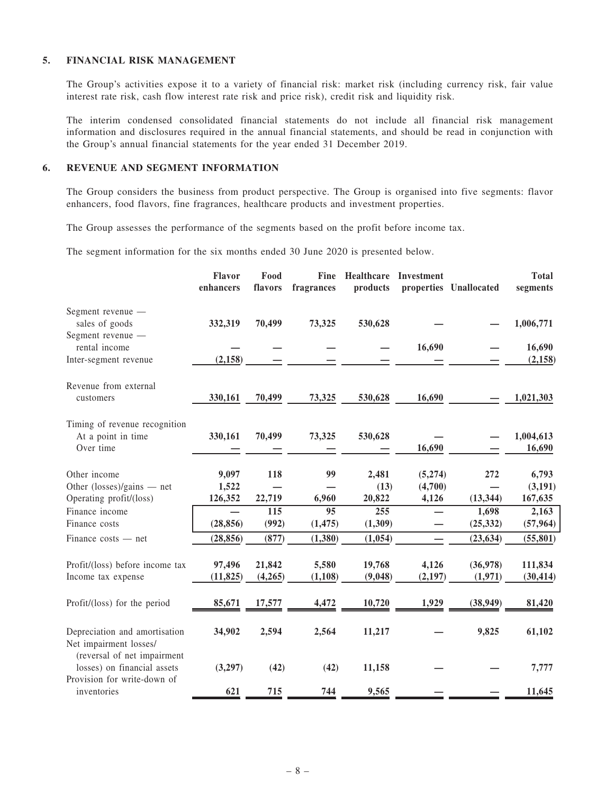#### 5. FINANCIAL RISK MANAGEMENT

The Group's activities expose it to a variety of financial risk: market risk (including currency risk, fair value interest rate risk, cash flow interest rate risk and price risk), credit risk and liquidity risk.

The interim condensed consolidated financial statements do not include all financial risk management information and disclosures required in the annual financial statements, and should be read in conjunction with the Group's annual financial statements for the year ended 31 December 2019.

#### 6. REVENUE AND SEGMENT INFORMATION

The Group considers the business from product perspective. The Group is organised into five segments: flavor enhancers, food flavors, fine fragrances, healthcare products and investment properties.

The Group assesses the performance of the segments based on the profit before income tax.

The segment information for the six months ended 30 June 2020 is presented below.

|                                                                                           | Flavor<br>enhancers | Food<br>flavors   | <b>Fine</b><br>fragrances | Healthcare<br>products | Investment        | properties Unallocated | <b>Total</b><br>segments |
|-------------------------------------------------------------------------------------------|---------------------|-------------------|---------------------------|------------------------|-------------------|------------------------|--------------------------|
| Segment revenue —<br>sales of goods                                                       | 332,319             | 70,499            | 73,325                    | 530,628                |                   |                        | 1,006,771                |
| Segment revenue -<br>rental income                                                        |                     |                   |                           |                        | 16,690            |                        | 16,690                   |
| Inter-segment revenue                                                                     | (2, 158)            |                   |                           |                        |                   |                        | (2, 158)                 |
| Revenue from external<br>customers                                                        | 330,161             | 70,499            | 73,325                    | 530,628                | 16,690            |                        | 1,021,303                |
| Timing of revenue recognition<br>At a point in time<br>Over time                          | 330,161             | 70,499            | 73,325                    | 530,628                | 16,690            |                        | 1,004,613<br>16,690      |
| Other income                                                                              | 9,097               | 118               | 99                        | 2,481                  | (5,274)           | 272                    | 6,793                    |
| Other $(\text{losses})/\text{gains}$ — net<br>Operating profit/(loss)                     | 1,522<br>126,352    | 22,719            | 6,960                     | (13)<br>20,822         | (4,700)<br>4,126  | (13, 344)              | (3,191)<br>167,635       |
| Finance income                                                                            |                     | 115               | 95                        | 255                    |                   | 1,698                  | 2,163                    |
| Finance costs                                                                             | (28, 856)           | (992)             | (1, 475)                  | (1,309)                |                   | (25, 332)              | (57, 964)                |
| $Finance \ costs - net$                                                                   | (28, 856)           | (877)             | (1,380)                   | (1,054)                |                   | (23, 634)              | (55, 801)                |
| Profit/(loss) before income tax<br>Income tax expense                                     | 97,496<br>(11, 825) | 21,842<br>(4,265) | 5,580<br>(1, 108)         | 19,768<br>(9,048)      | 4,126<br>(2, 197) | (36,978)<br>(1,971)    | 111,834<br>(30, 414)     |
| Profit/(loss) for the period                                                              | 85,671              | 17,577            | 4,472                     | 10,720                 | 1,929             | (38, 949)              | 81,420                   |
| Depreciation and amortisation<br>Net impairment losses/                                   | 34,902              | 2,594             | 2,564                     | 11,217                 |                   | 9,825                  | 61,102                   |
| (reversal of net impairment<br>losses) on financial assets<br>Provision for write-down of | (3,297)             | (42)              | (42)                      | 11,158                 |                   |                        | 7,777                    |
| inventories                                                                               | 621                 | 715               | 744                       | 9,565                  |                   |                        | 11,645                   |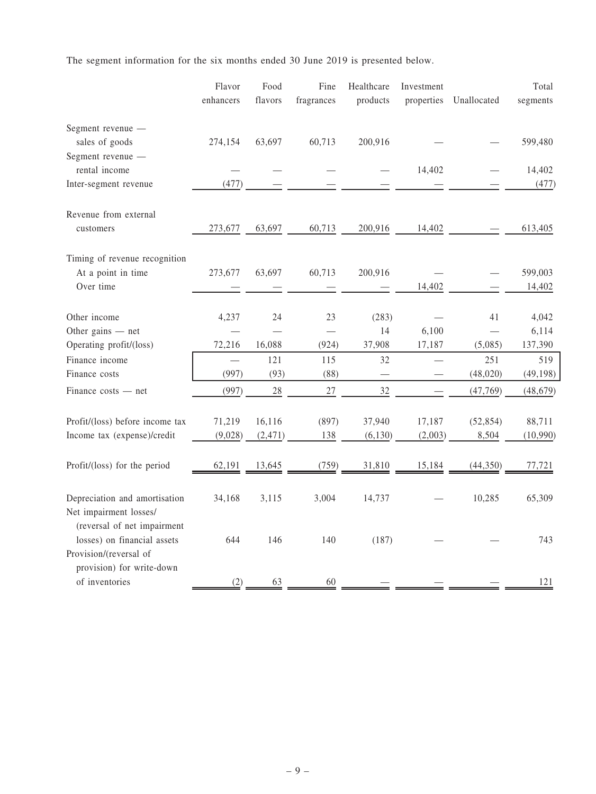The segment information for the six months ended 30 June 2019 is presented below.

|                                                     | Flavor    | Food     | Fine       | Healthcare | Investment |             | Total     |
|-----------------------------------------------------|-----------|----------|------------|------------|------------|-------------|-----------|
|                                                     | enhancers | flavors  | fragrances | products   | properties | Unallocated | segments  |
|                                                     |           |          |            |            |            |             |           |
| Segment revenue -                                   |           |          |            |            |            |             |           |
| sales of goods                                      | 274,154   | 63,697   | 60,713     | 200,916    |            |             | 599,480   |
| Segment revenue -                                   |           |          |            |            |            |             |           |
| rental income                                       |           |          |            |            | 14,402     |             | 14,402    |
| Inter-segment revenue                               | (477)     |          |            |            |            |             | (477)     |
|                                                     |           |          |            |            |            |             |           |
| Revenue from external                               |           |          |            |            |            |             |           |
| customers                                           | 273,677   | 63,697   | 60,713     | 200,916    | 14,402     |             | 613,405   |
|                                                     |           |          |            |            |            |             |           |
| Timing of revenue recognition<br>At a point in time | 273,677   | 63,697   | 60,713     | 200,916    |            |             | 599,003   |
| Over time                                           |           |          |            |            | 14,402     |             | 14,402    |
|                                                     |           |          |            |            |            |             |           |
| Other income                                        | 4,237     | 24       | 23         | (283)      |            | 41          | 4,042     |
| Other gains $-$ net                                 |           |          |            | 14         | 6,100      |             | 6,114     |
| Operating profit/(loss)                             | 72,216    | 16,088   | (924)      | 37,908     | 17,187     | (5,085)     | 137,390   |
| Finance income                                      | $\equiv$  | 121      | 115        | 32         |            | 251         | 519       |
| Finance costs                                       | (997)     | (93)     | (88)       |            |            | (48, 020)   | (49, 198) |
| Finance costs — net                                 | (997)     | 28       | $27\,$     | 32         |            | (47, 769)   | (48, 679) |
|                                                     |           |          |            |            |            |             |           |
| Profit/(loss) before income tax                     | 71,219    | 16,116   | (897)      | 37,940     | 17,187     | (52, 854)   | 88,711    |
| Income tax (expense)/credit                         | (9,028)   | (2, 471) | 138        | (6, 130)   | (2,003)    | 8,504       | (10,990)  |
|                                                     |           |          |            |            |            |             |           |
| Profit/(loss) for the period                        | 62,191    | 13,645   | (759)      | 31,810     | 15,184     | (44,350)    | 77,721    |
|                                                     |           |          |            |            |            |             |           |
| Depreciation and amortisation                       | 34,168    | 3,115    | 3,004      | 14,737     |            | 10,285      | 65,309    |
| Net impairment losses/                              |           |          |            |            |            |             |           |
| (reversal of net impairment                         |           |          |            |            |            |             |           |
| losses) on financial assets                         | 644       | 146      | 140        | (187)      |            |             | 743       |
| Provision/(reversal of                              |           |          |            |            |            |             |           |
| provision) for write-down                           |           |          |            |            |            |             |           |
| of inventories                                      | (2)       | 63       | 60         |            |            |             | 121       |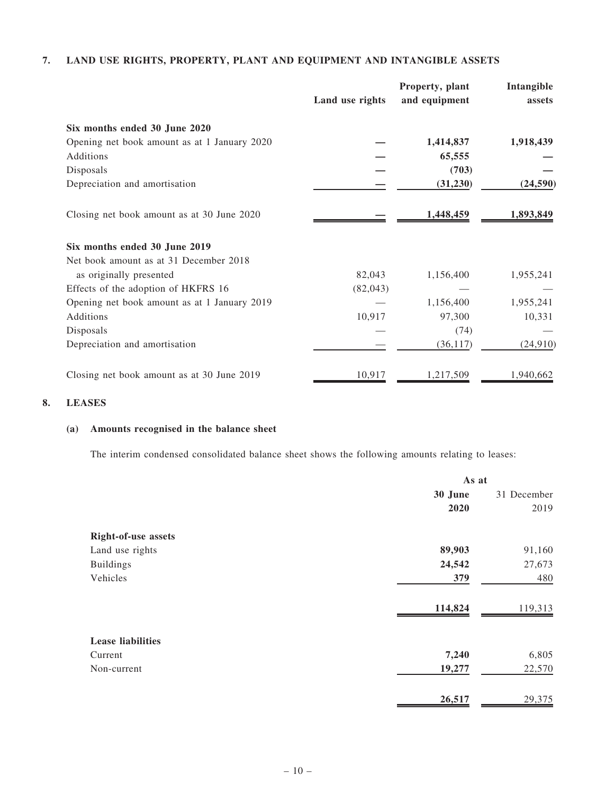### 7. LAND USE RIGHTS, PROPERTY, PLANT AND EQUIPMENT AND INTANGIBLE ASSETS

|                                              | Land use rights | Property, plant<br>and equipment | Intangible<br>assets |
|----------------------------------------------|-----------------|----------------------------------|----------------------|
| Six months ended 30 June 2020                |                 |                                  |                      |
| Opening net book amount as at 1 January 2020 |                 | 1,414,837                        | 1,918,439            |
| Additions                                    |                 | 65,555                           |                      |
| Disposals                                    |                 | (703)                            |                      |
| Depreciation and amortisation                |                 | (31, 230)                        | (24, 590)            |
| Closing net book amount as at 30 June 2020   |                 | 1,448,459                        | 1,893,849            |
| Six months ended 30 June 2019                |                 |                                  |                      |
| Net book amount as at 31 December 2018       |                 |                                  |                      |
| as originally presented                      | 82,043          | 1,156,400                        | 1,955,241            |
| Effects of the adoption of HKFRS 16          | (82,043)        |                                  |                      |
| Opening net book amount as at 1 January 2019 |                 | 1,156,400                        | 1,955,241            |
| Additions                                    | 10,917          | 97,300                           | 10,331               |
| Disposals                                    |                 | (74)                             |                      |
| Depreciation and amortisation                |                 | (36, 117)                        | (24, 910)            |
| Closing net book amount as at 30 June 2019   | 10,917          | 1,217,509                        | 1,940,662            |

#### 8. LEASES

### (a) Amounts recognised in the balance sheet

The interim condensed consolidated balance sheet shows the following amounts relating to leases:

|                            | As at   |             |  |
|----------------------------|---------|-------------|--|
|                            | 30 June | 31 December |  |
|                            | 2020    | 2019        |  |
| <b>Right-of-use assets</b> |         |             |  |
| Land use rights            | 89,903  | 91,160      |  |
| <b>Buildings</b>           | 24,542  | 27,673      |  |
| Vehicles                   | 379     | 480         |  |
|                            | 114,824 | 119,313     |  |
| <b>Lease liabilities</b>   |         |             |  |
| Current                    | 7,240   | 6,805       |  |
| Non-current                | 19,277  | 22,570      |  |
|                            | 26,517  | 29,375      |  |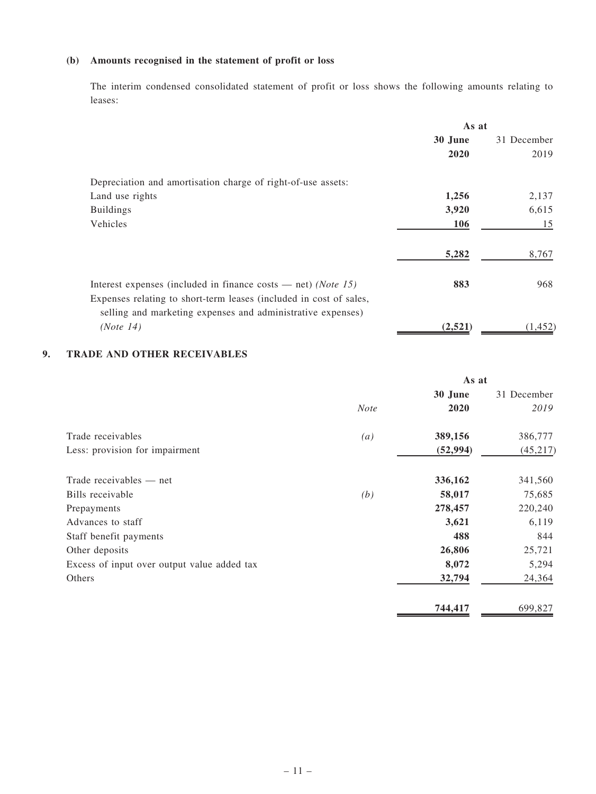### (b) Amounts recognised in the statement of profit or loss

The interim condensed consolidated statement of profit or loss shows the following amounts relating to leases:

|                                                                                                                                               | As at   |             |  |
|-----------------------------------------------------------------------------------------------------------------------------------------------|---------|-------------|--|
|                                                                                                                                               | 30 June | 31 December |  |
|                                                                                                                                               | 2020    | 2019        |  |
| Depreciation and amortisation charge of right-of-use assets:                                                                                  |         |             |  |
| Land use rights                                                                                                                               | 1,256   | 2,137       |  |
| <b>Buildings</b>                                                                                                                              | 3,920   | 6,615       |  |
| Vehicles                                                                                                                                      | 106     | 15          |  |
|                                                                                                                                               | 5,282   | 8,767       |  |
| Interest expenses (included in finance costs $-$ net) ( <i>Note</i> 15)<br>Expenses relating to short-term leases (included in cost of sales, | 883     | 968         |  |
| selling and marketing expenses and administrative expenses)                                                                                   |         |             |  |
| (Note 14)                                                                                                                                     | (2,521) | (1, 452)    |  |

### 9. TRADE AND OTHER RECEIVABLES

|                                             | As at             |           |             |
|---------------------------------------------|-------------------|-----------|-------------|
|                                             |                   | 30 June   | 31 December |
|                                             | <b>Note</b>       | 2020      | 2019        |
| Trade receivables                           | $\left( a\right)$ | 389,156   | 386,777     |
| Less: provision for impairment              |                   | (52, 994) | (45, 217)   |
| Trade receivables — net                     |                   | 336,162   | 341,560     |
| Bills receivable                            | (b)               | 58,017    | 75,685      |
| Prepayments                                 |                   | 278,457   | 220,240     |
| Advances to staff                           |                   | 3,621     | 6,119       |
| Staff benefit payments                      |                   | 488       | 844         |
| Other deposits                              |                   | 26,806    | 25,721      |
| Excess of input over output value added tax |                   | 8,072     | 5,294       |
| Others                                      |                   | 32,794    | 24,364      |
|                                             |                   | 744,417   | 699,827     |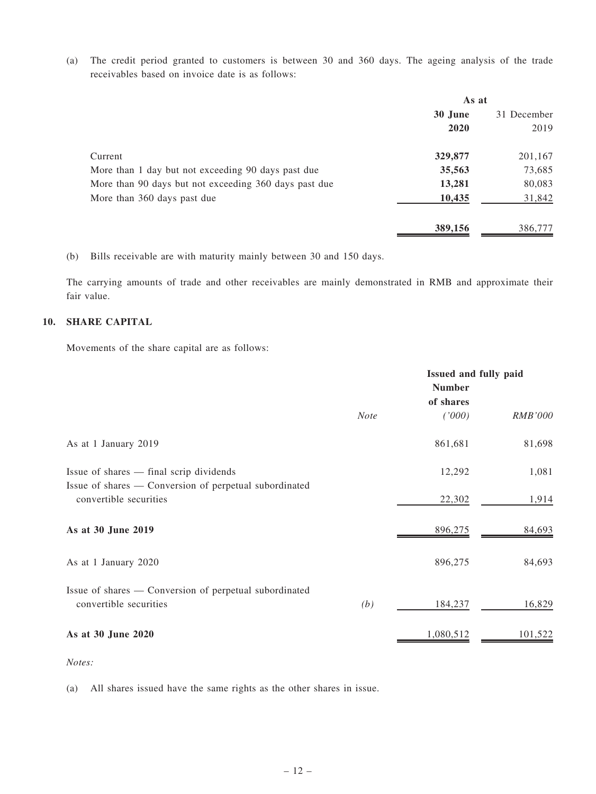(a) The credit period granted to customers is between 30 and 360 days. The ageing analysis of the trade receivables based on invoice date is as follows:

|                                                       | As at   |             |  |
|-------------------------------------------------------|---------|-------------|--|
|                                                       | 30 June | 31 December |  |
|                                                       | 2020    | 2019        |  |
| Current                                               | 329,877 | 201,167     |  |
| More than 1 day but not exceeding 90 days past due    | 35,563  | 73,685      |  |
| More than 90 days but not exceeding 360 days past due | 13,281  | 80,083      |  |
| More than 360 days past due                           | 10,435  | 31,842      |  |
|                                                       | 389,156 | 386,777     |  |

(b) Bills receivable are with maturity mainly between 30 and 150 days.

The carrying amounts of trade and other receivables are mainly demonstrated in RMB and approximate their fair value.

### 10. SHARE CAPITAL

Movements of the share capital are as follows:

|                                                                                  | Issued and fully paid<br><b>Number</b> |           |                |
|----------------------------------------------------------------------------------|----------------------------------------|-----------|----------------|
|                                                                                  |                                        | of shares |                |
|                                                                                  | <b>Note</b>                            | (1000)    | <b>RMB'000</b> |
| As at 1 January 2019                                                             |                                        | 861,681   | 81,698         |
| Issue of shares — final scrip dividends                                          |                                        | 12,292    | 1,081          |
| Issue of shares — Conversion of perpetual subordinated<br>convertible securities |                                        | 22,302    | 1,914          |
| As at 30 June 2019                                                               |                                        | 896,275   | 84,693         |
| As at 1 January 2020                                                             |                                        | 896,275   | 84,693         |
| Issue of shares — Conversion of perpetual subordinated<br>convertible securities | (b)                                    | 184,237   | 16,829         |
| As at 30 June 2020                                                               |                                        | 1,080,512 | 101,522        |

Notes:

(a) All shares issued have the same rights as the other shares in issue.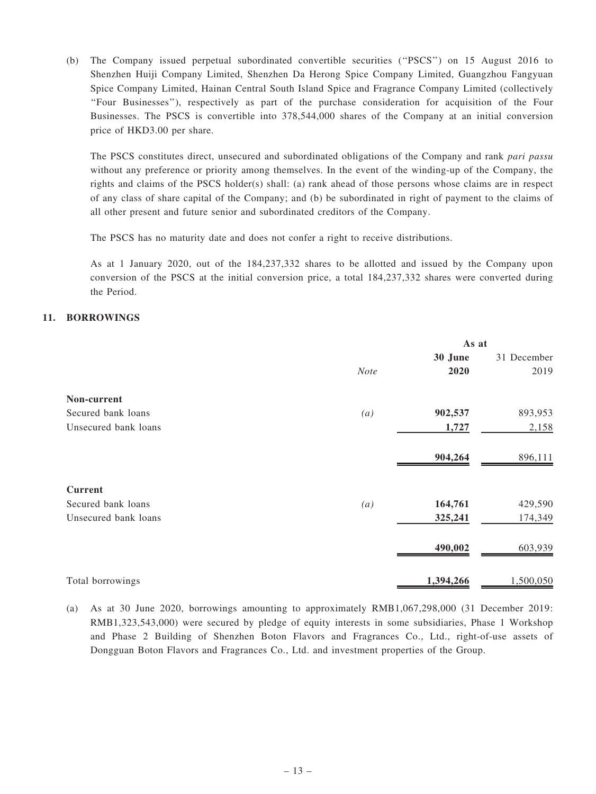(b) The Company issued perpetual subordinated convertible securities (''PSCS'') on 15 August 2016 to Shenzhen Huiji Company Limited, Shenzhen Da Herong Spice Company Limited, Guangzhou Fangyuan Spice Company Limited, Hainan Central South Island Spice and Fragrance Company Limited (collectively ''Four Businesses''), respectively as part of the purchase consideration for acquisition of the Four Businesses. The PSCS is convertible into 378,544,000 shares of the Company at an initial conversion price of HKD3.00 per share.

The PSCS constitutes direct, unsecured and subordinated obligations of the Company and rank pari passu without any preference or priority among themselves. In the event of the winding-up of the Company, the rights and claims of the PSCS holder(s) shall: (a) rank ahead of those persons whose claims are in respect of any class of share capital of the Company; and (b) be subordinated in right of payment to the claims of all other present and future senior and subordinated creditors of the Company.

The PSCS has no maturity date and does not confer a right to receive distributions.

As at 1 January 2020, out of the 184,237,332 shares to be allotted and issued by the Company upon conversion of the PSCS at the initial conversion price, a total 184,237,332 shares were converted during the Period.

#### 11. BORROWINGS

|                      |             | As at     |             |
|----------------------|-------------|-----------|-------------|
|                      |             | 30 June   | 31 December |
|                      | <b>Note</b> | 2020      | 2019        |
| Non-current          |             |           |             |
| Secured bank loans   | (a)         | 902,537   | 893,953     |
| Unsecured bank loans |             | 1,727     | 2,158       |
|                      |             | 904,264   | 896,111     |
| <b>Current</b>       |             |           |             |
| Secured bank loans   | (a)         | 164,761   | 429,590     |
| Unsecured bank loans |             | 325,241   | 174,349     |
|                      |             | 490,002   | 603,939     |
| Total borrowings     |             | 1,394,266 | 1,500,050   |

<sup>(</sup>a) As at 30 June 2020, borrowings amounting to approximately RMB1,067,298,000 (31 December 2019: RMB1,323,543,000) were secured by pledge of equity interests in some subsidiaries, Phase 1 Workshop and Phase 2 Building of Shenzhen Boton Flavors and Fragrances Co., Ltd., right-of-use assets of Dongguan Boton Flavors and Fragrances Co., Ltd. and investment properties of the Group.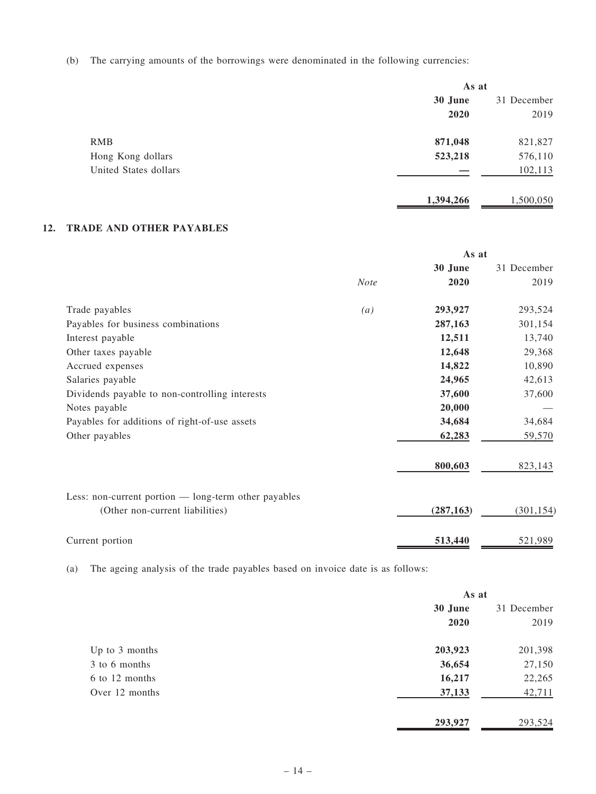(b) The carrying amounts of the borrowings were denominated in the following currencies:

|                       | As at     |             |
|-----------------------|-----------|-------------|
|                       | 30 June   | 31 December |
|                       | 2020      | 2019        |
| <b>RMB</b>            | 871,048   | 821,827     |
| Hong Kong dollars     | 523,218   | 576,110     |
| United States dollars |           | 102,113     |
|                       | 1,394,266 | 1,500,050   |

### 12. TRADE AND OTHER PAYABLES

|                                                      |             | As at      |             |
|------------------------------------------------------|-------------|------------|-------------|
|                                                      |             | 30 June    | 31 December |
|                                                      | <b>Note</b> | 2020       | 2019        |
| Trade payables                                       | (a)         | 293,927    | 293,524     |
| Payables for business combinations                   |             | 287,163    | 301,154     |
| Interest payable                                     |             | 12,511     | 13,740      |
| Other taxes payable                                  |             | 12,648     | 29,368      |
| Accrued expenses                                     |             | 14,822     | 10,890      |
| Salaries payable                                     |             | 24,965     | 42,613      |
| Dividends payable to non-controlling interests       |             | 37,600     | 37,600      |
| Notes payable                                        |             | 20,000     |             |
| Payables for additions of right-of-use assets        |             | 34,684     | 34,684      |
| Other payables                                       |             | 62,283     | 59,570      |
|                                                      |             | 800,603    | 823,143     |
| Less: non-current portion — long-term other payables |             |            |             |
| (Other non-current liabilities)                      |             | (287, 163) | (301, 154)  |
| Current portion                                      |             | 513,440    | 521,989     |

(a) The ageing analysis of the trade payables based on invoice date is as follows:

|                | As at   |             |
|----------------|---------|-------------|
|                | 30 June | 31 December |
|                | 2020    | 2019        |
| Up to 3 months | 203,923 | 201,398     |
| 3 to 6 months  | 36,654  | 27,150      |
| 6 to 12 months | 16,217  | 22,265      |
| Over 12 months | 37,133  | 42,711      |
|                | 293,927 | 293,524     |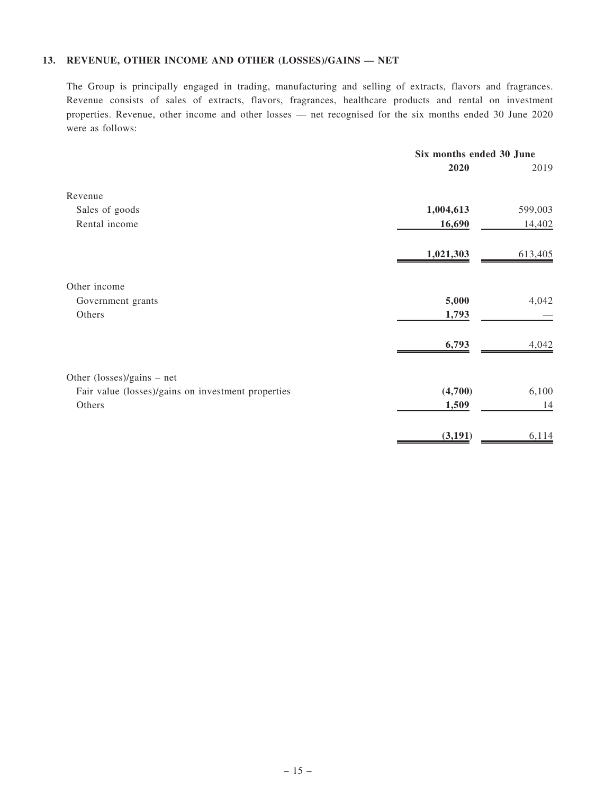### 13. REVENUE, OTHER INCOME AND OTHER (LOSSES)/GAINS — NET

The Group is principally engaged in trading, manufacturing and selling of extracts, flavors and fragrances. Revenue consists of sales of extracts, flavors, fragrances, healthcare products and rental on investment properties. Revenue, other income and other losses — net recognised for the six months ended 30 June 2020 were as follows:

|                                                    | Six months ended 30 June |         |
|----------------------------------------------------|--------------------------|---------|
|                                                    | 2020                     | 2019    |
| Revenue                                            |                          |         |
| Sales of goods                                     | 1,004,613                | 599,003 |
| Rental income                                      | 16,690                   | 14,402  |
|                                                    | 1,021,303                | 613,405 |
| Other income                                       |                          |         |
| Government grants                                  | 5,000                    | 4,042   |
| Others                                             | 1,793                    |         |
|                                                    | 6,793                    | 4,042   |
| Other (losses)/gains - net                         |                          |         |
| Fair value (losses)/gains on investment properties | (4,700)                  | 6,100   |
| Others                                             | 1,509                    | 14      |
|                                                    | (3, 191)                 | 6,114   |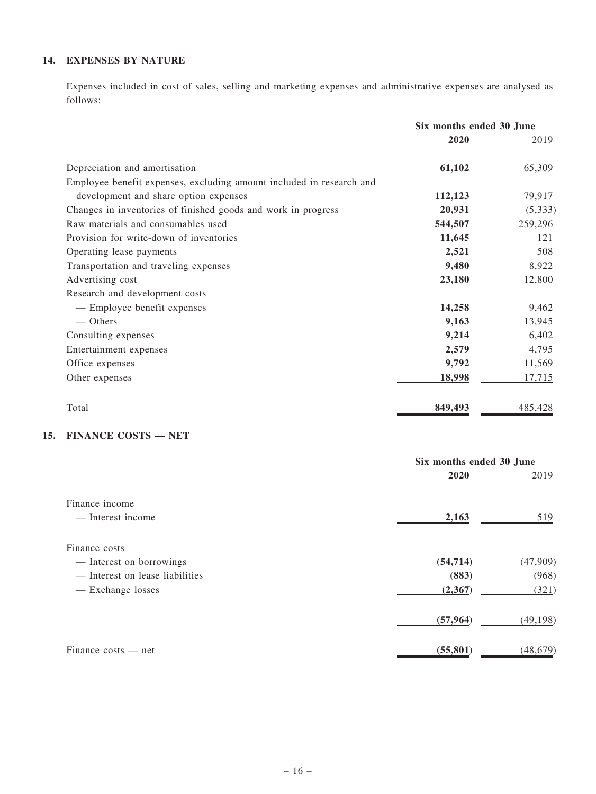## 14. EXPENSES BY NATURE

Expenses included in cost of sales, selling and marketing expenses and administrative expenses are analysed as follows:

|                                                                      | Six months ended 30 June |          |
|----------------------------------------------------------------------|--------------------------|----------|
|                                                                      | 2020                     | 2019     |
| Depreciation and amortisation                                        | 61,102                   | 65,309   |
| Employee benefit expenses, excluding amount included in research and |                          |          |
| development and share option expenses                                | 112,123                  | 79,917   |
| Changes in inventories of finished goods and work in progress        | 20,931                   | (5, 333) |
| Raw materials and consumables used                                   | 544,507                  | 259,296  |
| Provision for write-down of inventories                              | 11,645                   | 121      |
| Operating lease payments                                             | 2,521                    | 508      |
| Transportation and traveling expenses                                | 9,480                    | 8,922    |
| Advertising cost                                                     | 23,180                   | 12,800   |
| Research and development costs                                       |                          |          |
| - Employee benefit expenses                                          | 14,258                   | 9,462    |
| — Others                                                             | 9,163                    | 13,945   |
| Consulting expenses                                                  | 9,214                    | 6,402    |
| Entertainment expenses                                               | 2,579                    | 4,795    |
| Office expenses                                                      | 9,792                    | 11,569   |
| Other expenses                                                       | 18,998                   | 17,715   |
| Total                                                                | 849,493                  | 485,428  |

### 15. FINANCE COSTS — NET

|                                 | Six months ended 30 June |           |
|---------------------------------|--------------------------|-----------|
|                                 | 2020                     | 2019      |
| Finance income                  |                          |           |
| — Interest income               | 2,163                    | 519       |
| Finance costs                   |                          |           |
| - Interest on borrowings        | (54, 714)                | (47,909)  |
| — Interest on lease liabilities | (883)                    | (968)     |
| - Exchange losses               | (2, 367)                 | (321)     |
|                                 | (57, 964)                | (49, 198) |
| $Finance \; costs$ — net        | (55, 801)                | (48, 679) |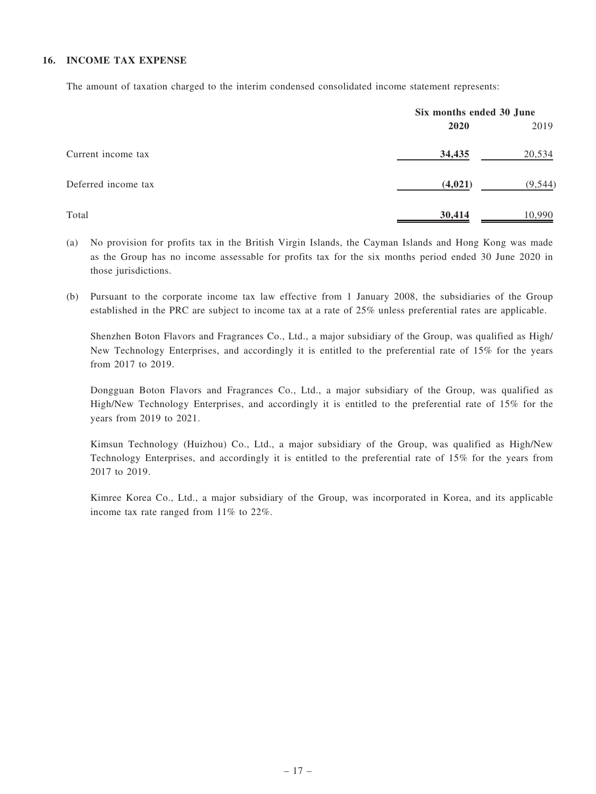#### 16. INCOME TAX EXPENSE

The amount of taxation charged to the interim condensed consolidated income statement represents:

|                     |         | Six months ended 30 June |  |
|---------------------|---------|--------------------------|--|
|                     | 2020    | 2019                     |  |
| Current income tax  | 34,435  | 20,534                   |  |
| Deferred income tax | (4,021) | (9, 544)                 |  |
| Total               | 30,414  | 10,990                   |  |

- (a) No provision for profits tax in the British Virgin Islands, the Cayman Islands and Hong Kong was made as the Group has no income assessable for profits tax for the six months period ended 30 June 2020 in those jurisdictions.
- (b) Pursuant to the corporate income tax law effective from 1 January 2008, the subsidiaries of the Group established in the PRC are subject to income tax at a rate of 25% unless preferential rates are applicable.

Shenzhen Boton Flavors and Fragrances Co., Ltd., a major subsidiary of the Group, was qualified as High/ New Technology Enterprises, and accordingly it is entitled to the preferential rate of 15% for the years from 2017 to 2019.

Dongguan Boton Flavors and Fragrances Co., Ltd., a major subsidiary of the Group, was qualified as High/New Technology Enterprises, and accordingly it is entitled to the preferential rate of 15% for the years from 2019 to 2021.

Kimsun Technology (Huizhou) Co., Ltd., a major subsidiary of the Group, was qualified as High/New Technology Enterprises, and accordingly it is entitled to the preferential rate of 15% for the years from 2017 to 2019.

Kimree Korea Co., Ltd., a major subsidiary of the Group, was incorporated in Korea, and its applicable income tax rate ranged from 11% to 22%.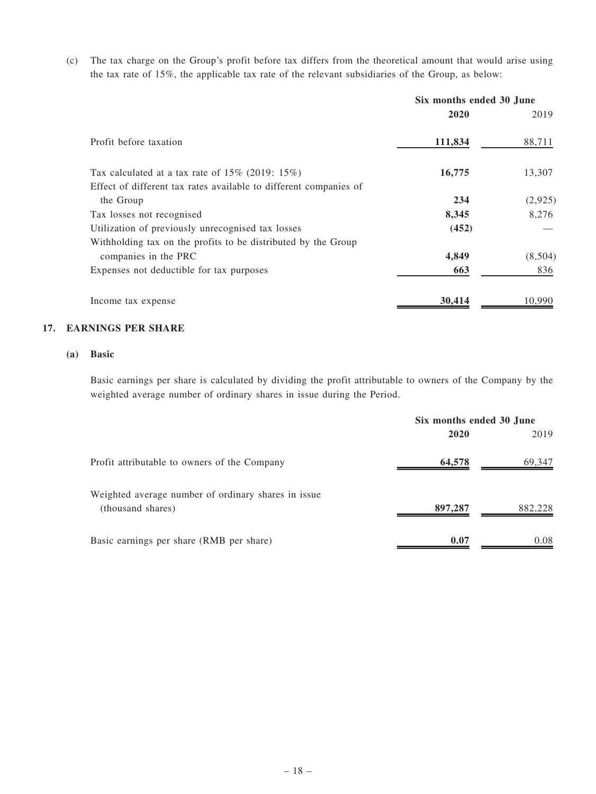(c) The tax charge on the Group's profit before tax differs from the theoretical amount that would arise using the tax rate of 15%, the applicable tax rate of the relevant subsidiaries of the Group, as below:

|                                                                   | Six months ended 30 June |         |
|-------------------------------------------------------------------|--------------------------|---------|
|                                                                   | 2020                     | 2019    |
| Profit before taxation                                            | 111,834                  | 88,711  |
| Tax calculated at a tax rate of $15\%$ (2019: $15\%$ )            | 16,775                   | 13,307  |
| Effect of different tax rates available to different companies of |                          |         |
| the Group                                                         | 234                      | (2,925) |
| Tax losses not recognised                                         | 8,345                    | 8.276   |
| Utilization of previously unrecognised tax losses                 | (452)                    |         |
| Withholding tax on the profits to be distributed by the Group     |                          |         |
| companies in the PRC                                              | 4,849                    | (8,504) |
| Expenses not deductible for tax purposes                          | 663                      | 836     |
| Income tax expense                                                | 30,414                   | 10.990  |

#### 17. EARNINGS PER SHARE

#### (a) Basic

Basic earnings per share is calculated by dividing the profit attributable to owners of the Company by the weighted average number of ordinary shares in issue during the Period.

|                                                                          | Six months ended 30 June |         |
|--------------------------------------------------------------------------|--------------------------|---------|
|                                                                          | 2020                     | 2019    |
| Profit attributable to owners of the Company                             | 64,578                   | 69,347  |
| Weighted average number of ordinary shares in issue<br>(thousand shares) | 897,287                  | 882,228 |
| Basic earnings per share (RMB per share)                                 | 0.07                     | 0.08    |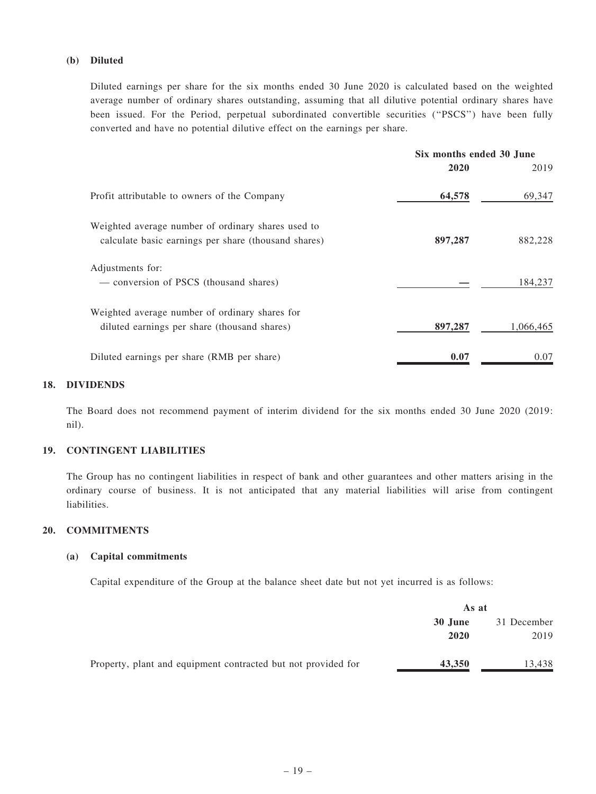#### (b) Diluted

Diluted earnings per share for the six months ended 30 June 2020 is calculated based on the weighted average number of ordinary shares outstanding, assuming that all dilutive potential ordinary shares have been issued. For the Period, perpetual subordinated convertible securities ("PSCS") have been fully converted and have no potential dilutive effect on the earnings per share.

|                                                                                                            | Six months ended 30 June |           |
|------------------------------------------------------------------------------------------------------------|--------------------------|-----------|
|                                                                                                            | 2020                     | 2019      |
| Profit attributable to owners of the Company                                                               | 64,578                   | 69,347    |
| Weighted average number of ordinary shares used to<br>calculate basic earnings per share (thousand shares) | 897,287                  | 882,228   |
| Adjustments for:<br>— conversion of PSCS (thousand shares)                                                 |                          | 184,237   |
| Weighted average number of ordinary shares for<br>diluted earnings per share (thousand shares)             | 897,287                  | 1.066.465 |
| Diluted earnings per share (RMB per share)                                                                 | 0.07                     | 0.07      |

#### 18. DIVIDENDS

The Board does not recommend payment of interim dividend for the six months ended 30 June 2020 (2019: nil).

#### 19. CONTINGENT LIABILITIES

The Group has no contingent liabilities in respect of bank and other guarantees and other matters arising in the ordinary course of business. It is not anticipated that any material liabilities will arise from contingent liabilities.

### 20. COMMITMENTS

#### (a) Capital commitments

Capital expenditure of the Group at the balance sheet date but not yet incurred is as follows:

|                                                               |         | As at       |  |  |
|---------------------------------------------------------------|---------|-------------|--|--|
|                                                               | 30 June | 31 December |  |  |
|                                                               | 2020    | 2019        |  |  |
| Property, plant and equipment contracted but not provided for | 43,350  | 13,438      |  |  |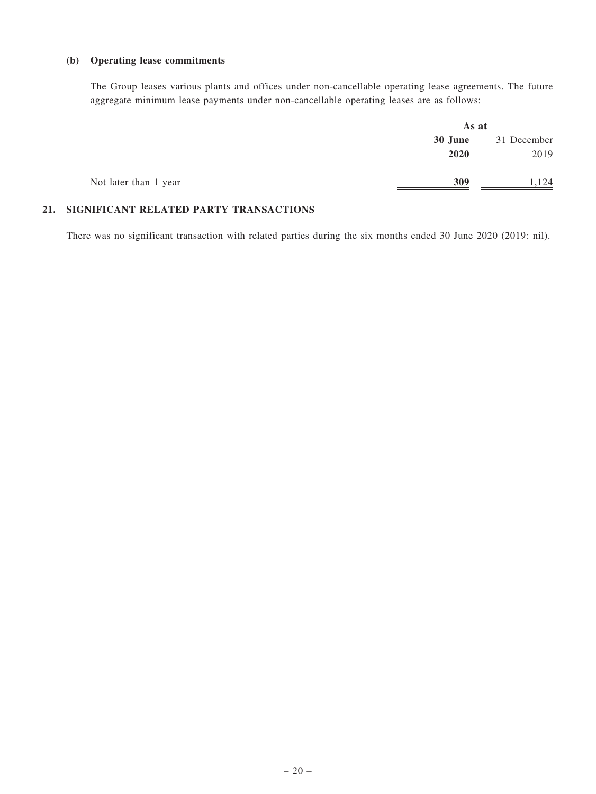#### (b) Operating lease commitments

The Group leases various plants and offices under non-cancellable operating lease agreements. The future aggregate minimum lease payments under non-cancellable operating leases are as follows:

|                       | As at   |             |  |
|-----------------------|---------|-------------|--|
|                       | 30 June | 31 December |  |
|                       | 2020    | 2019        |  |
| Not later than 1 year | 309     | 1,124       |  |

### 21. SIGNIFICANT RELATED PARTY TRANSACTIONS

There was no significant transaction with related parties during the six months ended 30 June 2020 (2019: nil).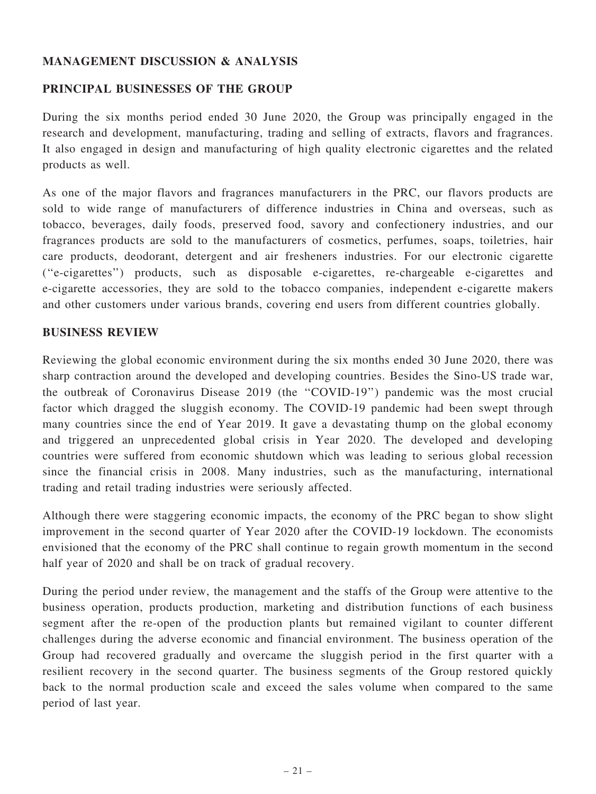## MANAGEMENT DISCUSSION & ANALYSIS

### PRINCIPAL BUSINESSES OF THE GROUP

During the six months period ended 30 June 2020, the Group was principally engaged in the research and development, manufacturing, trading and selling of extracts, flavors and fragrances. It also engaged in design and manufacturing of high quality electronic cigarettes and the related products as well.

As one of the major flavors and fragrances manufacturers in the PRC, our flavors products are sold to wide range of manufacturers of difference industries in China and overseas, such as tobacco, beverages, daily foods, preserved food, savory and confectionery industries, and our fragrances products are sold to the manufacturers of cosmetics, perfumes, soaps, toiletries, hair care products, deodorant, detergent and air fresheners industries. For our electronic cigarette (''e-cigarettes'') products, such as disposable e-cigarettes, re-chargeable e-cigarettes and e-cigarette accessories, they are sold to the tobacco companies, independent e-cigarette makers and other customers under various brands, covering end users from different countries globally.

### BUSINESS REVIEW

Reviewing the global economic environment during the six months ended 30 June 2020, there was sharp contraction around the developed and developing countries. Besides the Sino-US trade war, the outbreak of Coronavirus Disease 2019 (the ''COVID-19'') pandemic was the most crucial factor which dragged the sluggish economy. The COVID-19 pandemic had been swept through many countries since the end of Year 2019. It gave a devastating thump on the global economy and triggered an unprecedented global crisis in Year 2020. The developed and developing countries were suffered from economic shutdown which was leading to serious global recession since the financial crisis in 2008. Many industries, such as the manufacturing, international trading and retail trading industries were seriously affected.

Although there were staggering economic impacts, the economy of the PRC began to show slight improvement in the second quarter of Year 2020 after the COVID-19 lockdown. The economists envisioned that the economy of the PRC shall continue to regain growth momentum in the second half year of 2020 and shall be on track of gradual recovery.

During the period under review, the management and the staffs of the Group were attentive to the business operation, products production, marketing and distribution functions of each business segment after the re-open of the production plants but remained vigilant to counter different challenges during the adverse economic and financial environment. The business operation of the Group had recovered gradually and overcame the sluggish period in the first quarter with a resilient recovery in the second quarter. The business segments of the Group restored quickly back to the normal production scale and exceed the sales volume when compared to the same period of last year.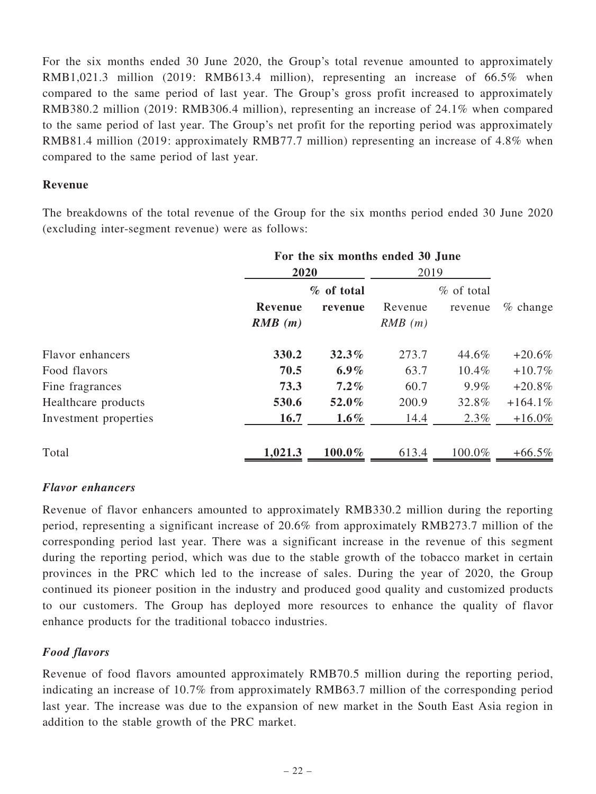For the six months ended 30 June 2020, the Group's total revenue amounted to approximately RMB1,021.3 million (2019: RMB613.4 million), representing an increase of 66.5% when compared to the same period of last year. The Group's gross profit increased to approximately RMB380.2 million (2019: RMB306.4 million), representing an increase of 24.1% when compared to the same period of last year. The Group's net profit for the reporting period was approximately RMB81.4 million (2019: approximately RMB77.7 million) representing an increase of 4.8% when compared to the same period of last year.

### Revenue

The breakdowns of the total revenue of the Group for the six months period ended 30 June 2020 (excluding inter-segment revenue) were as follows:

|                       | For the six months ended 30 June |                       |                   |                         |             |
|-----------------------|----------------------------------|-----------------------|-------------------|-------------------------|-------------|
|                       | 2020                             |                       | 2019              |                         |             |
|                       | Revenue<br>RMB(m)                | % of total<br>revenue | Revenue<br>RMB(m) | $%$ of total<br>revenue | $\%$ change |
| Flavor enhancers      | 330.2                            | 32.3%                 | 273.7             | 44.6%                   | $+20.6%$    |
| Food flavors          | 70.5                             | $6.9\%$               | 63.7              | $10.4\%$                | $+10.7\%$   |
| Fine fragrances       | 73.3                             | $7.2\%$               | 60.7              | 9.9%                    | $+20.8\%$   |
| Healthcare products   | 530.6                            | 52.0%                 | 200.9             | 32.8%                   | $+164.1\%$  |
| Investment properties | 16.7                             | $1.6\%$               | 14.4              | 2.3%                    | $+16.0\%$   |
| Total                 | 1,021.3                          | 100.0%                | 613.4             | 100.0%                  | $+66.5\%$   |

### Flavor enhancers

Revenue of flavor enhancers amounted to approximately RMB330.2 million during the reporting period, representing a significant increase of 20.6% from approximately RMB273.7 million of the corresponding period last year. There was a significant increase in the revenue of this segment during the reporting period, which was due to the stable growth of the tobacco market in certain provinces in the PRC which led to the increase of sales. During the year of 2020, the Group continued its pioneer position in the industry and produced good quality and customized products to our customers. The Group has deployed more resources to enhance the quality of flavor enhance products for the traditional tobacco industries.

## Food flavors

Revenue of food flavors amounted approximately RMB70.5 million during the reporting period, indicating an increase of 10.7% from approximately RMB63.7 million of the corresponding period last year. The increase was due to the expansion of new market in the South East Asia region in addition to the stable growth of the PRC market.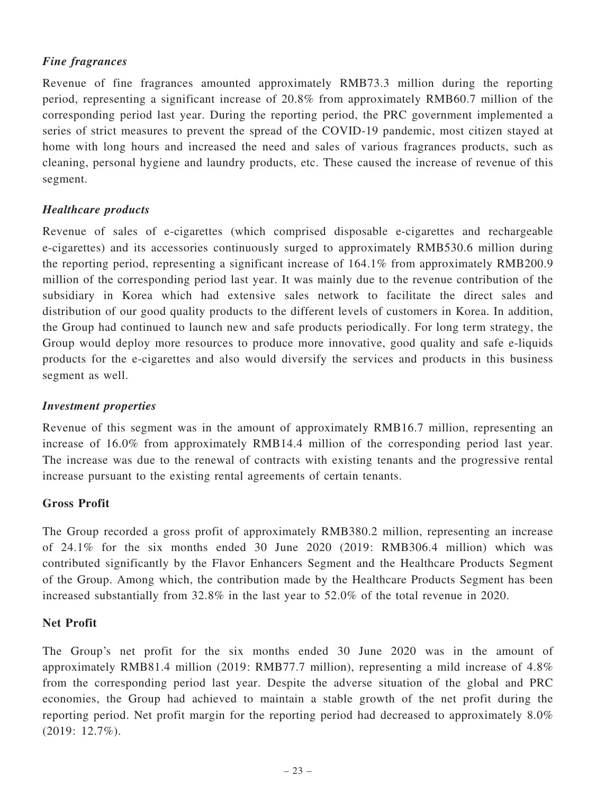## Fine fragrances

Revenue of fine fragrances amounted approximately RMB73.3 million during the reporting period, representing a significant increase of 20.8% from approximately RMB60.7 million of the corresponding period last year. During the reporting period, the PRC government implemented a series of strict measures to prevent the spread of the COVID-19 pandemic, most citizen stayed at home with long hours and increased the need and sales of various fragrances products, such as cleaning, personal hygiene and laundry products, etc. These caused the increase of revenue of this segment.

## Healthcare products

Revenue of sales of e-cigarettes (which comprised disposable e-cigarettes and rechargeable e-cigarettes) and its accessories continuously surged to approximately RMB530.6 million during the reporting period, representing a significant increase of 164.1% from approximately RMB200.9 million of the corresponding period last year. It was mainly due to the revenue contribution of the subsidiary in Korea which had extensive sales network to facilitate the direct sales and distribution of our good quality products to the different levels of customers in Korea. In addition, the Group had continued to launch new and safe products periodically. For long term strategy, the Group would deploy more resources to produce more innovative, good quality and safe e-liquids products for the e-cigarettes and also would diversify the services and products in this business segment as well.

## Investment properties

Revenue of this segment was in the amount of approximately RMB16.7 million, representing an increase of 16.0% from approximately RMB14.4 million of the corresponding period last year. The increase was due to the renewal of contracts with existing tenants and the progressive rental increase pursuant to the existing rental agreements of certain tenants.

## Gross Profit

The Group recorded a gross profit of approximately RMB380.2 million, representing an increase of 24.1% for the six months ended 30 June 2020 (2019: RMB306.4 million) which was contributed significantly by the Flavor Enhancers Segment and the Healthcare Products Segment of the Group. Among which, the contribution made by the Healthcare Products Segment has been increased substantially from 32.8% in the last year to 52.0% of the total revenue in 2020.

## Net Profit

The Group's net profit for the six months ended 30 June 2020 was in the amount of approximately RMB81.4 million (2019: RMB77.7 million), representing a mild increase of 4.8% from the corresponding period last year. Despite the adverse situation of the global and PRC economies, the Group had achieved to maintain a stable growth of the net profit during the reporting period. Net profit margin for the reporting period had decreased to approximately 8.0% (2019: 12.7%).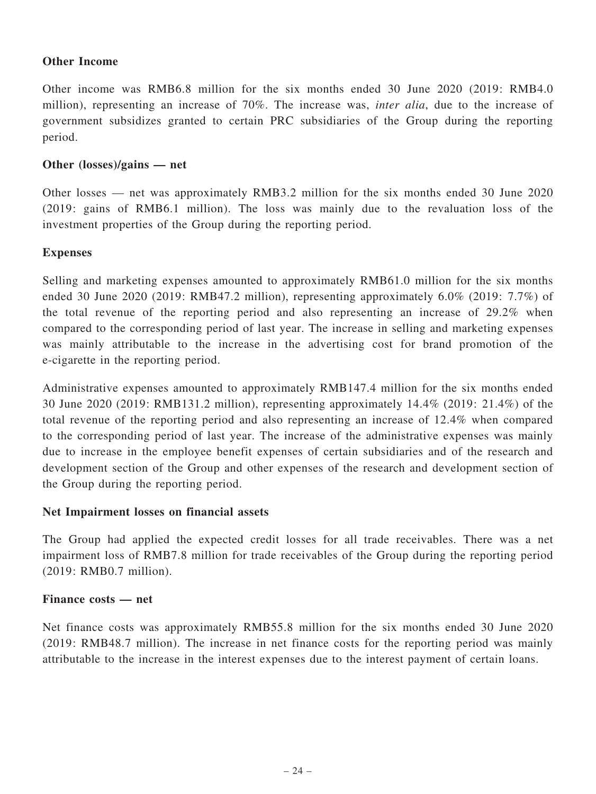## Other Income

Other income was RMB6.8 million for the six months ended 30 June 2020 (2019: RMB4.0 million), representing an increase of 70%. The increase was, inter alia, due to the increase of government subsidizes granted to certain PRC subsidiaries of the Group during the reporting period.

### Other (losses)/gains — net

Other losses — net was approximately RMB3.2 million for the six months ended 30 June 2020 (2019: gains of RMB6.1 million). The loss was mainly due to the revaluation loss of the investment properties of the Group during the reporting period.

### Expenses

Selling and marketing expenses amounted to approximately RMB61.0 million for the six months ended 30 June 2020 (2019: RMB47.2 million), representing approximately 6.0% (2019: 7.7%) of the total revenue of the reporting period and also representing an increase of 29.2% when compared to the corresponding period of last year. The increase in selling and marketing expenses was mainly attributable to the increase in the advertising cost for brand promotion of the e-cigarette in the reporting period.

Administrative expenses amounted to approximately RMB147.4 million for the six months ended 30 June 2020 (2019: RMB131.2 million), representing approximately 14.4% (2019: 21.4%) of the total revenue of the reporting period and also representing an increase of 12.4% when compared to the corresponding period of last year. The increase of the administrative expenses was mainly due to increase in the employee benefit expenses of certain subsidiaries and of the research and development section of the Group and other expenses of the research and development section of the Group during the reporting period.

### Net Impairment losses on financial assets

The Group had applied the expected credit losses for all trade receivables. There was a net impairment loss of RMB7.8 million for trade receivables of the Group during the reporting period (2019: RMB0.7 million).

### Finance costs — net

Net finance costs was approximately RMB55.8 million for the six months ended 30 June 2020 (2019: RMB48.7 million). The increase in net finance costs for the reporting period was mainly attributable to the increase in the interest expenses due to the interest payment of certain loans.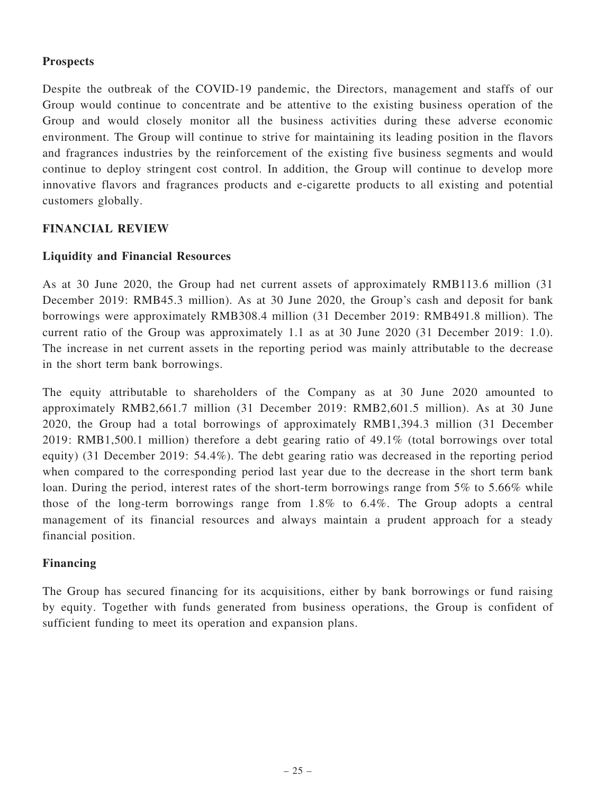## Prospects

Despite the outbreak of the COVID-19 pandemic, the Directors, management and staffs of our Group would continue to concentrate and be attentive to the existing business operation of the Group and would closely monitor all the business activities during these adverse economic environment. The Group will continue to strive for maintaining its leading position in the flavors and fragrances industries by the reinforcement of the existing five business segments and would continue to deploy stringent cost control. In addition, the Group will continue to develop more innovative flavors and fragrances products and e-cigarette products to all existing and potential customers globally.

## FINANCIAL REVIEW

## Liquidity and Financial Resources

As at 30 June 2020, the Group had net current assets of approximately RMB113.6 million (31 December 2019: RMB45.3 million). As at 30 June 2020, the Group's cash and deposit for bank borrowings were approximately RMB308.4 million (31 December 2019: RMB491.8 million). The current ratio of the Group was approximately 1.1 as at 30 June 2020 (31 December 2019: 1.0). The increase in net current assets in the reporting period was mainly attributable to the decrease in the short term bank borrowings.

The equity attributable to shareholders of the Company as at 30 June 2020 amounted to approximately RMB2,661.7 million (31 December 2019: RMB2,601.5 million). As at 30 June 2020, the Group had a total borrowings of approximately RMB1,394.3 million (31 December 2019: RMB1,500.1 million) therefore a debt gearing ratio of 49.1% (total borrowings over total equity) (31 December 2019: 54.4%). The debt gearing ratio was decreased in the reporting period when compared to the corresponding period last year due to the decrease in the short term bank loan. During the period, interest rates of the short-term borrowings range from 5% to 5.66% while those of the long-term borrowings range from 1.8% to 6.4%. The Group adopts a central management of its financial resources and always maintain a prudent approach for a steady financial position.

## Financing

The Group has secured financing for its acquisitions, either by bank borrowings or fund raising by equity. Together with funds generated from business operations, the Group is confident of sufficient funding to meet its operation and expansion plans.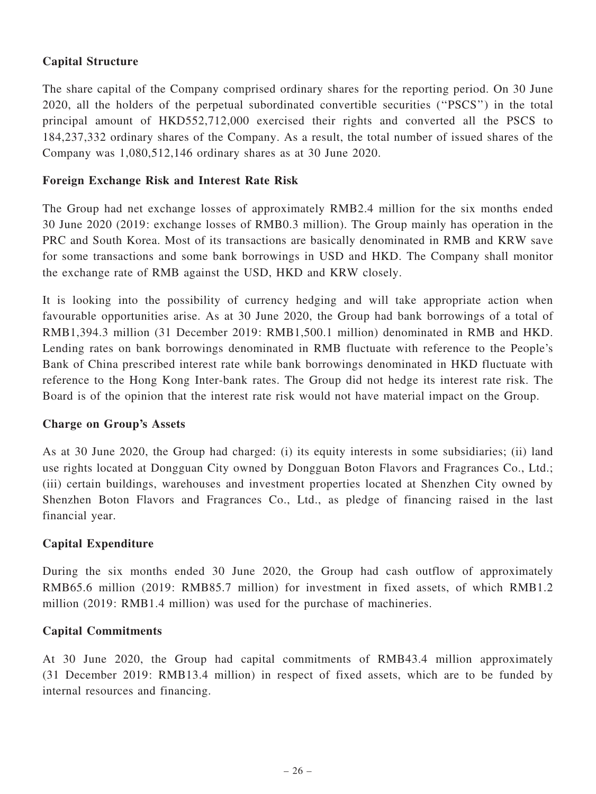## Capital Structure

The share capital of the Company comprised ordinary shares for the reporting period. On 30 June 2020, all the holders of the perpetual subordinated convertible securities (''PSCS'') in the total principal amount of HKD552,712,000 exercised their rights and converted all the PSCS to 184,237,332 ordinary shares of the Company. As a result, the total number of issued shares of the Company was 1,080,512,146 ordinary shares as at 30 June 2020.

## Foreign Exchange Risk and Interest Rate Risk

The Group had net exchange losses of approximately RMB2.4 million for the six months ended 30 June 2020 (2019: exchange losses of RMB0.3 million). The Group mainly has operation in the PRC and South Korea. Most of its transactions are basically denominated in RMB and KRW save for some transactions and some bank borrowings in USD and HKD. The Company shall monitor the exchange rate of RMB against the USD, HKD and KRW closely.

It is looking into the possibility of currency hedging and will take appropriate action when favourable opportunities arise. As at 30 June 2020, the Group had bank borrowings of a total of RMB1,394.3 million (31 December 2019: RMB1,500.1 million) denominated in RMB and HKD. Lending rates on bank borrowings denominated in RMB fluctuate with reference to the People's Bank of China prescribed interest rate while bank borrowings denominated in HKD fluctuate with reference to the Hong Kong Inter-bank rates. The Group did not hedge its interest rate risk. The Board is of the opinion that the interest rate risk would not have material impact on the Group.

### Charge on Group's Assets

As at 30 June 2020, the Group had charged: (i) its equity interests in some subsidiaries; (ii) land use rights located at Dongguan City owned by Dongguan Boton Flavors and Fragrances Co., Ltd.; (iii) certain buildings, warehouses and investment properties located at Shenzhen City owned by Shenzhen Boton Flavors and Fragrances Co., Ltd., as pledge of financing raised in the last financial year.

## Capital Expenditure

During the six months ended 30 June 2020, the Group had cash outflow of approximately RMB65.6 million (2019: RMB85.7 million) for investment in fixed assets, of which RMB1.2 million (2019: RMB1.4 million) was used for the purchase of machineries.

## Capital Commitments

At 30 June 2020, the Group had capital commitments of RMB43.4 million approximately (31 December 2019: RMB13.4 million) in respect of fixed assets, which are to be funded by internal resources and financing.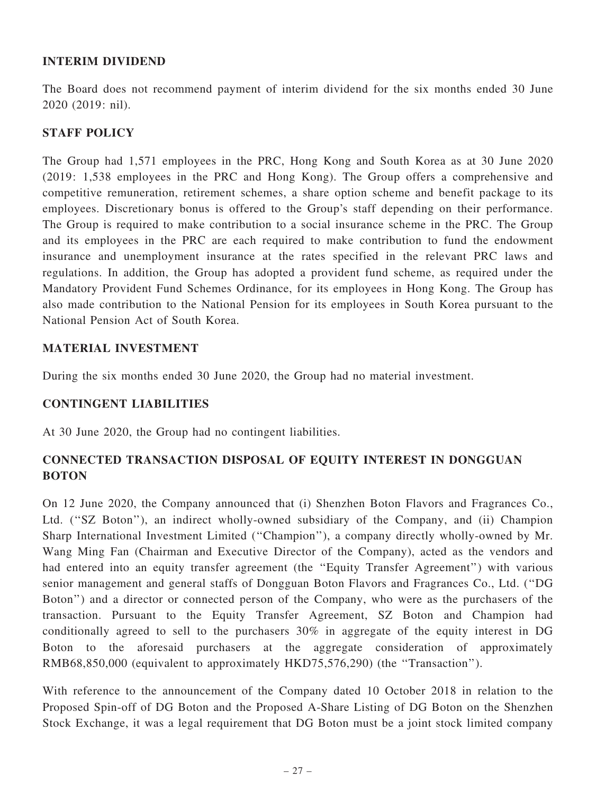## INTERIM DIVIDEND

The Board does not recommend payment of interim dividend for the six months ended 30 June 2020 (2019: nil).

## STAFF POLICY

The Group had 1,571 employees in the PRC, Hong Kong and South Korea as at 30 June 2020 (2019: 1,538 employees in the PRC and Hong Kong). The Group offers a comprehensive and competitive remuneration, retirement schemes, a share option scheme and benefit package to its employees. Discretionary bonus is offered to the Group's staff depending on their performance. The Group is required to make contribution to a social insurance scheme in the PRC. The Group and its employees in the PRC are each required to make contribution to fund the endowment insurance and unemployment insurance at the rates specified in the relevant PRC laws and regulations. In addition, the Group has adopted a provident fund scheme, as required under the Mandatory Provident Fund Schemes Ordinance, for its employees in Hong Kong. The Group has also made contribution to the National Pension for its employees in South Korea pursuant to the National Pension Act of South Korea.

## MATERIAL INVESTMENT

During the six months ended 30 June 2020, the Group had no material investment.

## CONTINGENT LIABILITIES

At 30 June 2020, the Group had no contingent liabilities.

# CONNECTED TRANSACTION DISPOSAL OF EQUITY INTEREST IN DONGGUAN **BOTON**

On 12 June 2020, the Company announced that (i) Shenzhen Boton Flavors and Fragrances Co., Ltd. (''SZ Boton''), an indirect wholly-owned subsidiary of the Company, and (ii) Champion Sharp International Investment Limited (''Champion''), a company directly wholly-owned by Mr. Wang Ming Fan (Chairman and Executive Director of the Company), acted as the vendors and had entered into an equity transfer agreement (the "Equity Transfer Agreement") with various senior management and general staffs of Dongguan Boton Flavors and Fragrances Co., Ltd. (''DG Boton'') and a director or connected person of the Company, who were as the purchasers of the transaction. Pursuant to the Equity Transfer Agreement, SZ Boton and Champion had conditionally agreed to sell to the purchasers 30% in aggregate of the equity interest in DG Boton to the aforesaid purchasers at the aggregate consideration of approximately RMB68,850,000 (equivalent to approximately HKD75,576,290) (the ''Transaction'').

With reference to the announcement of the Company dated 10 October 2018 in relation to the Proposed Spin-off of DG Boton and the Proposed A-Share Listing of DG Boton on the Shenzhen Stock Exchange, it was a legal requirement that DG Boton must be a joint stock limited company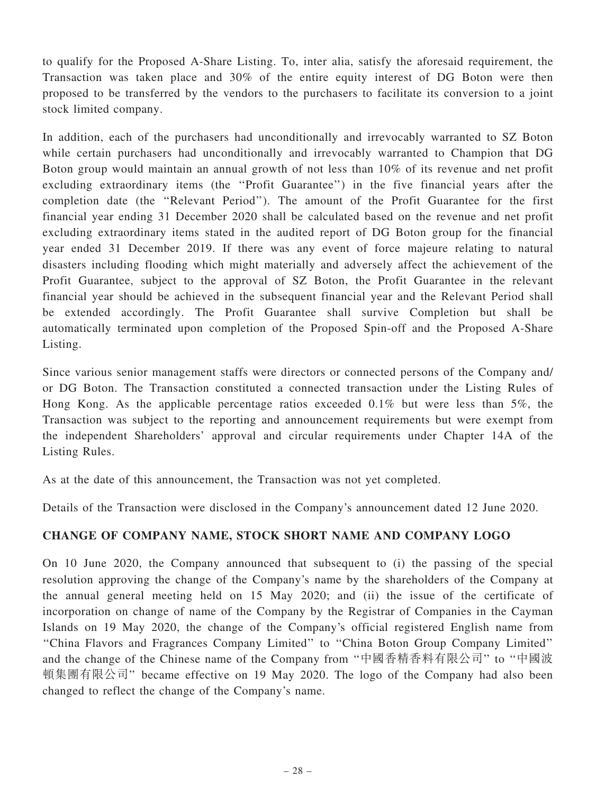to qualify for the Proposed A-Share Listing. To, inter alia, satisfy the aforesaid requirement, the Transaction was taken place and 30% of the entire equity interest of DG Boton were then proposed to be transferred by the vendors to the purchasers to facilitate its conversion to a joint stock limited company.

In addition, each of the purchasers had unconditionally and irrevocably warranted to SZ Boton while certain purchasers had unconditionally and irrevocably warranted to Champion that DG Boton group would maintain an annual growth of not less than 10% of its revenue and net profit excluding extraordinary items (the ''Profit Guarantee'') in the five financial years after the completion date (the ''Relevant Period''). The amount of the Profit Guarantee for the first financial year ending 31 December 2020 shall be calculated based on the revenue and net profit excluding extraordinary items stated in the audited report of DG Boton group for the financial year ended 31 December 2019. If there was any event of force majeure relating to natural disasters including flooding which might materially and adversely affect the achievement of the Profit Guarantee, subject to the approval of SZ Boton, the Profit Guarantee in the relevant financial year should be achieved in the subsequent financial year and the Relevant Period shall be extended accordingly. The Profit Guarantee shall survive Completion but shall be automatically terminated upon completion of the Proposed Spin-off and the Proposed A-Share Listing.

Since various senior management staffs were directors or connected persons of the Company and/ or DG Boton. The Transaction constituted a connected transaction under the Listing Rules of Hong Kong. As the applicable percentage ratios exceeded 0.1% but were less than 5%, the Transaction was subject to the reporting and announcement requirements but were exempt from the independent Shareholders' approval and circular requirements under Chapter 14A of the Listing Rules.

As at the date of this announcement, the Transaction was not yet completed.

Details of the Transaction were disclosed in the Company's announcement dated 12 June 2020.

# CHANGE OF COMPANY NAME, STOCK SHORT NAME AND COMPANY LOGO

On 10 June 2020, the Company announced that subsequent to (i) the passing of the special resolution approving the change of the Company's name by the shareholders of the Company at the annual general meeting held on 15 May 2020; and (ii) the issue of the certificate of incorporation on change of name of the Company by the Registrar of Companies in the Cayman Islands on 19 May 2020, the change of the Company's official registered English name from ''China Flavors and Fragrances Company Limited'' to ''China Boton Group Company Limited'' and the change of the Chinese name of the Company from "中國香精香料有限公司" to "中國波 頓集團有限公司" became effective on 19 May 2020. The logo of the Company had also been changed to reflect the change of the Company's name.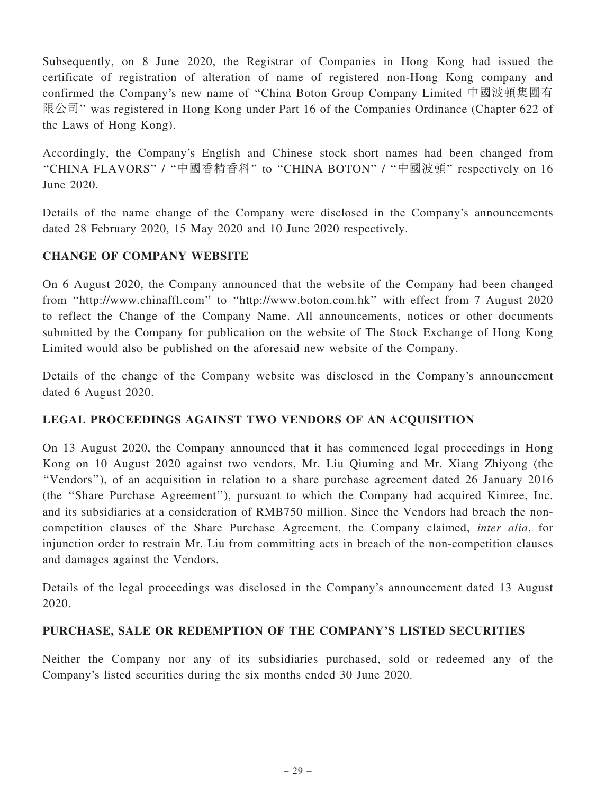Subsequently, on 8 June 2020, the Registrar of Companies in Hong Kong had issued the certificate of registration of alteration of name of registered non-Hong Kong company and confirmed the Company's new name of ''China Boton Group Company Limited 中國波頓集團有 限公司'' was registered in Hong Kong under Part 16 of the Companies Ordinance (Chapter 622 of the Laws of Hong Kong).

Accordingly, the Company's English and Chinese stock short names had been changed from ''CHINA FLAVORS'' / ''中國香精香料'' to ''CHINA BOTON'' / ''中國波頓'' respectively on 16 June 2020.

Details of the name change of the Company were disclosed in the Company's announcements dated 28 February 2020, 15 May 2020 and 10 June 2020 respectively.

# CHANGE OF COMPANY WEBSITE

On 6 August 2020, the Company announced that the website of the Company had been changed from ''http://www.chinaffl.com'' to ''http://www.boton.com.hk'' with effect from 7 August 2020 to reflect the Change of the Company Name. All announcements, notices or other documents submitted by the Company for publication on the website of The Stock Exchange of Hong Kong Limited would also be published on the aforesaid new website of the Company.

Details of the change of the Company website was disclosed in the Company's announcement dated 6 August 2020.

# LEGAL PROCEEDINGS AGAINST TWO VENDORS OF AN ACQUISITION

On 13 August 2020, the Company announced that it has commenced legal proceedings in Hong Kong on 10 August 2020 against two vendors, Mr. Liu Qiuming and Mr. Xiang Zhiyong (the ''Vendors''), of an acquisition in relation to a share purchase agreement dated 26 January 2016 (the ''Share Purchase Agreement''), pursuant to which the Company had acquired Kimree, Inc. and its subsidiaries at a consideration of RMB750 million. Since the Vendors had breach the noncompetition clauses of the Share Purchase Agreement, the Company claimed, inter alia, for injunction order to restrain Mr. Liu from committing acts in breach of the non-competition clauses and damages against the Vendors.

Details of the legal proceedings was disclosed in the Company's announcement dated 13 August 2020.

## PURCHASE, SALE OR REDEMPTION OF THE COMPANY'S LISTED SECURITIES

Neither the Company nor any of its subsidiaries purchased, sold or redeemed any of the Company's listed securities during the six months ended 30 June 2020.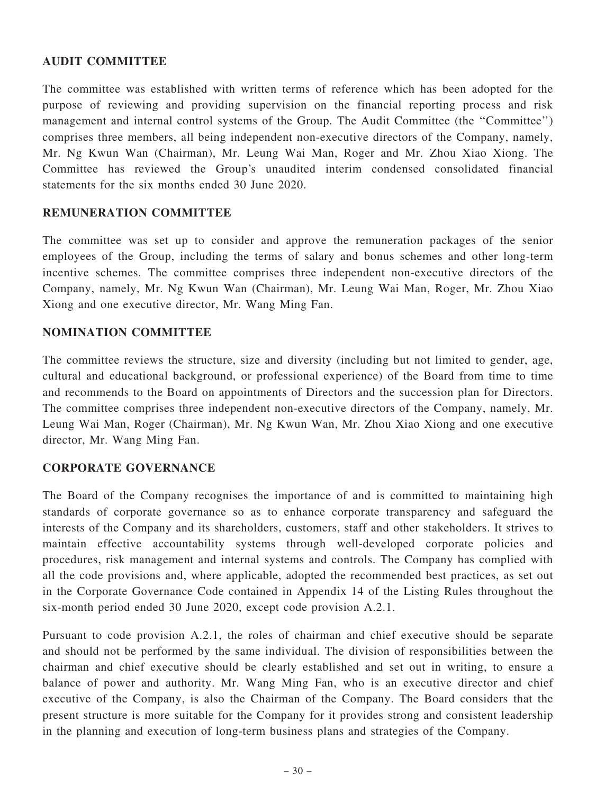## AUDIT COMMITTEE

The committee was established with written terms of reference which has been adopted for the purpose of reviewing and providing supervision on the financial reporting process and risk management and internal control systems of the Group. The Audit Committee (the ''Committee'') comprises three members, all being independent non-executive directors of the Company, namely, Mr. Ng Kwun Wan (Chairman), Mr. Leung Wai Man, Roger and Mr. Zhou Xiao Xiong. The Committee has reviewed the Group's unaudited interim condensed consolidated financial statements for the six months ended 30 June 2020.

## REMUNERATION COMMITTEE

The committee was set up to consider and approve the remuneration packages of the senior employees of the Group, including the terms of salary and bonus schemes and other long-term incentive schemes. The committee comprises three independent non-executive directors of the Company, namely, Mr. Ng Kwun Wan (Chairman), Mr. Leung Wai Man, Roger, Mr. Zhou Xiao Xiong and one executive director, Mr. Wang Ming Fan.

## NOMINATION COMMITTEE

The committee reviews the structure, size and diversity (including but not limited to gender, age, cultural and educational background, or professional experience) of the Board from time to time and recommends to the Board on appointments of Directors and the succession plan for Directors. The committee comprises three independent non-executive directors of the Company, namely, Mr. Leung Wai Man, Roger (Chairman), Mr. Ng Kwun Wan, Mr. Zhou Xiao Xiong and one executive director, Mr. Wang Ming Fan.

### CORPORATE GOVERNANCE

The Board of the Company recognises the importance of and is committed to maintaining high standards of corporate governance so as to enhance corporate transparency and safeguard the interests of the Company and its shareholders, customers, staff and other stakeholders. It strives to maintain effective accountability systems through well-developed corporate policies and procedures, risk management and internal systems and controls. The Company has complied with all the code provisions and, where applicable, adopted the recommended best practices, as set out in the Corporate Governance Code contained in Appendix 14 of the Listing Rules throughout the six-month period ended 30 June 2020, except code provision A.2.1.

Pursuant to code provision A.2.1, the roles of chairman and chief executive should be separate and should not be performed by the same individual. The division of responsibilities between the chairman and chief executive should be clearly established and set out in writing, to ensure a balance of power and authority. Mr. Wang Ming Fan, who is an executive director and chief executive of the Company, is also the Chairman of the Company. The Board considers that the present structure is more suitable for the Company for it provides strong and consistent leadership in the planning and execution of long-term business plans and strategies of the Company.